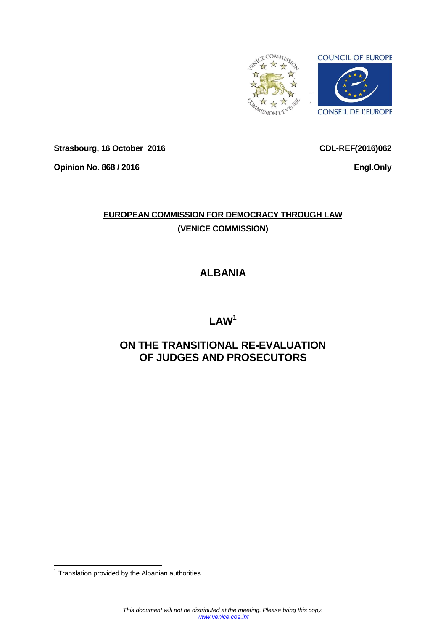

**Strasbourg, 16 October 2016**

**Opinion No. 868 / 2016**

**CDL-REF(2016)062**

**Engl.Only**

# **EUROPEAN COMMISSION FOR DEMOCRACY THROUGH LAW (VENICE COMMISSION)**

# **ALBANIA**

# **LAW<sup>1</sup>**

# **ON THE TRANSITIONAL RE-EVALUATION OF JUDGES AND PROSECUTORS**

 1 Translation provided by the Albanian authorities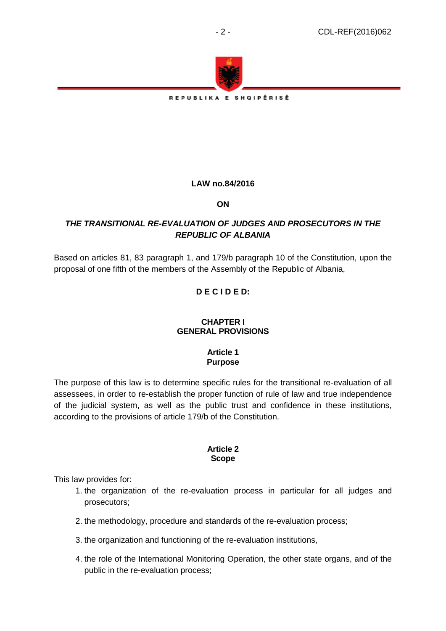

REPUBLIKA E SHQIPËRISË

## **LAW no.84/2016**

**ON**

## *THE TRANSITIONAL RE-EVALUATION OF JUDGES AND PROSECUTORS IN THE REPUBLIC OF ALBANIA*

Based on articles 81, 83 paragraph 1, and 179/b paragraph 10 of the Constitution, upon the proposal of one fifth of the members of the Assembly of the Republic of Albania,

# **D E C I D E D:**

### **CHAPTER I GENERAL PROVISIONS**

### **Article 1 Purpose**

The purpose of this law is to determine specific rules for the transitional re-evaluation of all assessees, in order to re-establish the proper function of rule of law and true independence of the judicial system, as well as the public trust and confidence in these institutions, according to the provisions of article 179/b of the Constitution.

### **Article 2 Scope**

This law provides for:

- 1. the organization of the re-evaluation process in particular for all judges and prosecutors;
- 2. the methodology, procedure and standards of the re-evaluation process;
- 3. the organization and functioning of the re-evaluation institutions,
- 4. the role of the International Monitoring Operation, the other state organs, and of the public in the re-evaluation process;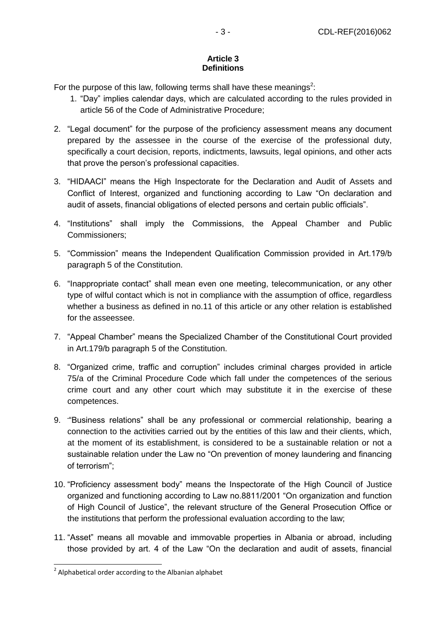## **Article 3 Definitions**

For the purpose of this law, following terms shall have these meanings<sup>2</sup>:

- 1. "Day" implies calendar days, which are calculated according to the rules provided in article 56 of the Code of Administrative Procedure;
- 2. "Legal document" for the purpose of the proficiency assessment means any document prepared by the assessee in the course of the exercise of the professional duty, specifically a court decision, reports, indictments, lawsuits, legal opinions, and other acts that prove the person's professional capacities.
- 3. "HIDAACI" means the High Inspectorate for the Declaration and Audit of Assets and Conflict of Interest, organized and functioning according to Law "On declaration and audit of assets, financial obligations of elected persons and certain public officials".
- 4. "Institutions" shall imply the Commissions, the Appeal Chamber and Public Commissioners;
- 5. "Commission" means the Independent Qualification Commission provided in Art.179/b paragraph 5 of the Constitution.
- 6. "Inappropriate contact" shall mean even one meeting, telecommunication, or any other type of wilful contact which is not in compliance with the assumption of office, regardless whether a business as defined in no.11 of this article or any other relation is established for the asseessee.
- 7. "Appeal Chamber" means the Specialized Chamber of the Constitutional Court provided in Art.179/b paragraph 5 of the Constitution.
- 8. "Organized crime, traffic and corruption" includes criminal charges provided in article 75/a of the Criminal Procedure Code which fall under the competences of the serious crime court and any other court which may substitute it in the exercise of these competences.
- 9. "Business relations" shall be any professional or commercial relationship, bearing a connection to the activities carried out by the entities of this law and their clients, which, at the moment of its establishment, is considered to be a sustainable relation or not a sustainable relation under the Law no "On prevention of money laundering and financing of terrorism";
- 10. "Proficiency assessment body" means the Inspectorate of the High Council of Justice organized and functioning according to Law no.8811/2001 "On organization and function of High Council of Justice", the relevant structure of the General Prosecution Office or the institutions that perform the professional evaluation according to the law;
- 11. "Asset" means all movable and immovable properties in Albania or abroad, including those provided by art. 4 of the Law "On the declaration and audit of assets, financial

-

 $2$  Alphabetical order according to the Albanian alphabet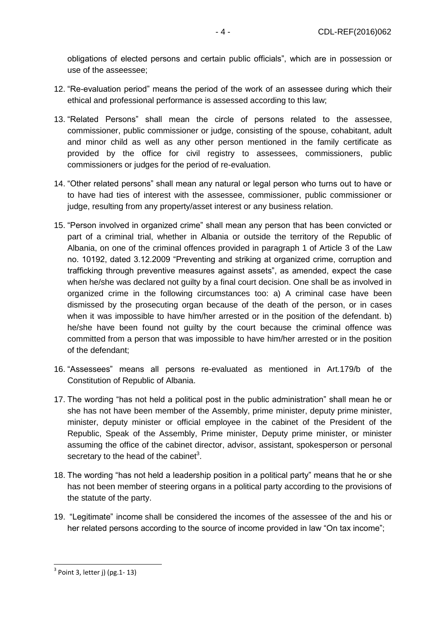obligations of elected persons and certain public officials", which are in possession or use of the asseessee;

- 12. "Re-evaluation period" means the period of the work of an assessee during which their ethical and professional performance is assessed according to this law;
- 13. "Related Persons" shall mean the circle of persons related to the assessee, commissioner, public commissioner or judge, consisting of the spouse, cohabitant, adult and minor child as well as any other person mentioned in the family certificate as provided by the office for civil registry to assessees, commissioners, public commissioners or judges for the period of re-evaluation.
- 14. "Other related persons" shall mean any natural or legal person who turns out to have or to have had ties of interest with the assessee, commissioner, public commissioner or judge, resulting from any property/asset interest or any business relation.
- 15. "Person involved in organized crime" shall mean any person that has been convicted or part of a criminal trial, whether in Albania or outside the territory of the Republic of Albania, on one of the criminal offences provided in paragraph 1 of Article 3 of the Law no. 10192, dated 3.12.2009 "Preventing and striking at organized crime, corruption and trafficking through preventive measures against assets", as amended, expect the case when he/she was declared not guilty by a final court decision. One shall be as involved in organized crime in the following circumstances too: a) A criminal case have been dismissed by the prosecuting organ because of the death of the person, or in cases when it was impossible to have him/her arrested or in the position of the defendant. b) he/she have been found not guilty by the court because the criminal offence was committed from a person that was impossible to have him/her arrested or in the position of the defendant;
- 16. "Assessees" means all persons re-evaluated as mentioned in Art.179/b of the Constitution of Republic of Albania.
- 17. The wording "has not held a political post in the public administration" shall mean he or she has not have been member of the Assembly, prime minister, deputy prime minister, minister, deputy minister or official employee in the cabinet of the President of the Republic, Speak of the Assembly, Prime minister, Deputy prime minister, or minister assuming the office of the cabinet director, advisor, assistant, spokesperson or personal secretary to the head of the cabinet<sup>3</sup>.
- 18. The wording "has not held a leadership position in a political party" means that he or she has not been member of steering organs in a political party according to the provisions of the statute of the party.
- 19. "Legitimate" income shall be considered the incomes of the assessee of the and his or her related persons according to the source of income provided in law "On tax income";

-

 $3$  Point 3, letter j) (pg.1-13)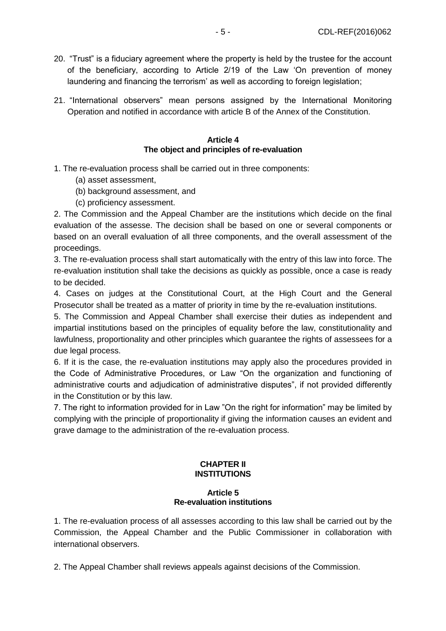- 20. "Trust" is a fiduciary agreement where the property is held by the trustee for the account of the beneficiary, according to Article 2/19 of the Law 'On prevention of money laundering and financing the terrorism' as well as according to foreign legislation;
- 21. "International observers" mean persons assigned by the International Monitoring Operation and notified in accordance with article B of the Annex of the Constitution.

#### **Article 4 The object and principles of re-evaluation**

- 1. The re-evaluation process shall be carried out in three components:
	- (a) asset assessment,
	- (b) background assessment, and
	- (c) proficiency assessment.

2. The Commission and the Appeal Chamber are the institutions which decide on the final evaluation of the assesse. The decision shall be based on one or several components or based on an overall evaluation of all three components, and the overall assessment of the proceedings.

3. The re-evaluation process shall start automatically with the entry of this law into force. The re-evaluation institution shall take the decisions as quickly as possible, once a case is ready to be decided.

4. Cases on judges at the Constitutional Court, at the High Court and the General Prosecutor shall be treated as a matter of priority in time by the re-evaluation institutions.

5. The Commission and Appeal Chamber shall exercise their duties as independent and impartial institutions based on the principles of equality before the law, constitutionality and lawfulness, proportionality and other principles which guarantee the rights of assessees for a due legal process.

6. If it is the case, the re-evaluation institutions may apply also the procedures provided in the Code of Administrative Procedures, or Law "On the organization and functioning of administrative courts and adjudication of administrative disputes", if not provided differently in the Constitution or by this law.

7. The right to information provided for in Law "On the right for information" may be limited by complying with the principle of proportionality if giving the information causes an evident and grave damage to the administration of the re-evaluation process.

#### **CHAPTER II INSTITUTIONS**

#### **Article 5 Re-evaluation institutions**

1. The re-evaluation process of all assesses according to this law shall be carried out by the Commission, the Appeal Chamber and the Public Commissioner in collaboration with international observers.

2. The Appeal Chamber shall reviews appeals against decisions of the Commission.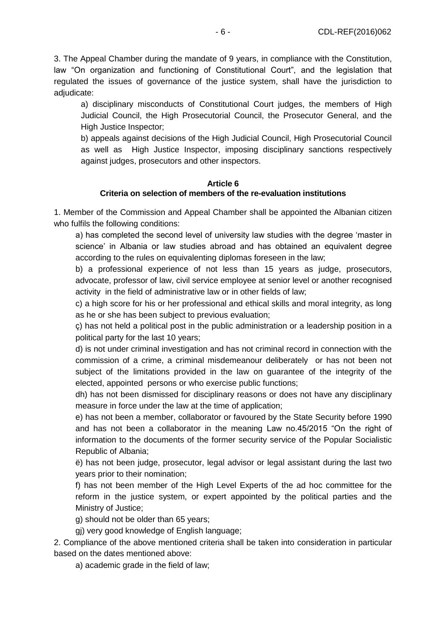3. The Appeal Chamber during the mandate of 9 years, in compliance with the Constitution, law "On organization and functioning of Constitutional Court", and the legislation that regulated the issues of governance of the justice system, shall have the jurisdiction to adjudicate:

a) disciplinary misconducts of Constitutional Court judges, the members of High Judicial Council, the High Prosecutorial Council, the Prosecutor General, and the High Justice Inspector;

b) appeals against decisions of the High Judicial Council, High Prosecutorial Council as well as High Justice Inspector, imposing disciplinary sanctions respectively against judges, prosecutors and other inspectors.

## **Article 6 Criteria on selection of members of the re-evaluation institutions**

1. Member of the Commission and Appeal Chamber shall be appointed the Albanian citizen who fulfils the following conditions:

a) has completed the second level of university law studies with the degree 'master in science' in Albania or law studies abroad and has obtained an equivalent degree according to the rules on equivalenting diplomas foreseen in the law;

b) a professional experience of not less than 15 years as judge, prosecutors, advocate, professor of law, civil service employee at senior level or another recognised activity in the field of administrative law or in other fields of law;

c) a high score for his or her professional and ethical skills and moral integrity, as long as he or she has been subject to previous evaluation;

ç) has not held a political post in the public administration or a leadership position in a political party for the last 10 years;

d) is not under criminal investigation and has not criminal record in connection with the commission of a crime, a criminal misdemeanour deliberately or has not been not subject of the limitations provided in the law on guarantee of the integrity of the elected, appointed persons or who exercise public functions;

dh) has not been dismissed for disciplinary reasons or does not have any disciplinary measure in force under the law at the time of application;

e) has not been a member, collaborator or favoured by the State Security before 1990 and has not been a collaborator in the meaning Law no.45/2015 "On the right of information to the documents of the former security service of the Popular Socialistic Republic of Albania;

ë) has not been judge, prosecutor, legal advisor or legal assistant during the last two years prior to their nomination;

f) has not been member of the High Level Experts of the ad hoc committee for the reform in the justice system, or expert appointed by the political parties and the Ministry of Justice;

g) should not be older than 65 years;

gj) very good knowledge of English language;

2. Compliance of the above mentioned criteria shall be taken into consideration in particular based on the dates mentioned above:

a) academic grade in the field of law;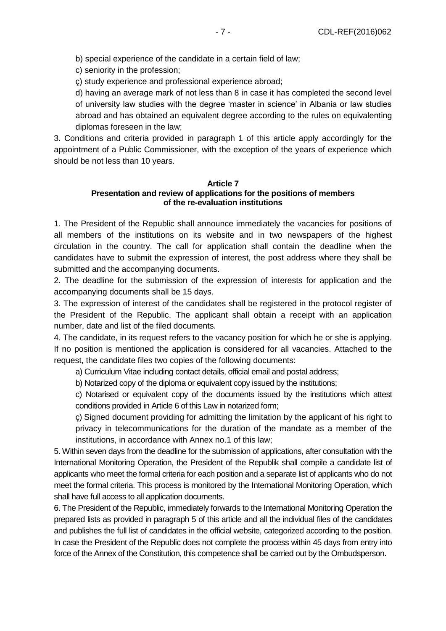b) special experience of the candidate in a certain field of law;

c) seniority in the profession;

ç) study experience and professional experience abroad;

d) having an average mark of not less than 8 in case it has completed the second level of university law studies with the degree 'master in science' in Albania or law studies abroad and has obtained an equivalent degree according to the rules on equivalenting diplomas foreseen in the law;

3. Conditions and criteria provided in paragraph 1 of this article apply accordingly for the appointment of a Public Commissioner, with the exception of the years of experience which should be not less than 10 years.

#### **Article 7 Presentation and review of applications for the positions of members of the re-evaluation institutions**

1. The President of the Republic shall announce immediately the vacancies for positions of all members of the institutions on its website and in two newspapers of the highest circulation in the country. The call for application shall contain the deadline when the candidates have to submit the expression of interest, the post address where they shall be submitted and the accompanying documents.

2. The deadline for the submission of the expression of interests for application and the accompanying documents shall be 15 days.

3. The expression of interest of the candidates shall be registered in the protocol register of the President of the Republic. The applicant shall obtain a receipt with an application number, date and list of the filed documents.

4. The candidate, in its request refers to the vacancy position for which he or she is applying. If no position is mentioned the application is considered for all vacancies. Attached to the request, the candidate files two copies of the following documents:

a) Curriculum Vitae including contact details, official email and postal address;

b) Notarized copy of the diploma or equivalent copy issued by the institutions;

c) Notarised or equivalent copy of the documents issued by the institutions which attest conditions provided in Article 6 of this Law in notarized form;

ç) Signed document providing for admitting the limitation by the applicant of his right to privacy in telecommunications for the duration of the mandate as a member of the institutions, in accordance with Annex no.1 of this law;

5. Within seven days from the deadline for the submission of applications, after consultation with the International Monitoring Operation, the President of the Republik shall compile a candidate list of applicants who meet the formal criteria for each position and a separate list of applicants who do not meet the formal criteria. This process is monitored by the International Monitoring Operation, which shall have full access to all application documents.

6. The President of the Republic, immediately forwards to the International Monitoring Operation the prepared lists as provided in paragraph 5 of this article and all the individual files of the candidates and publishes the full list of candidates in the official website, categorized according to the position. In case the President of the Republic does not complete the process within 45 days from entry into force of the Annex of the Constitution, this competence shall be carried out by the Ombudsperson.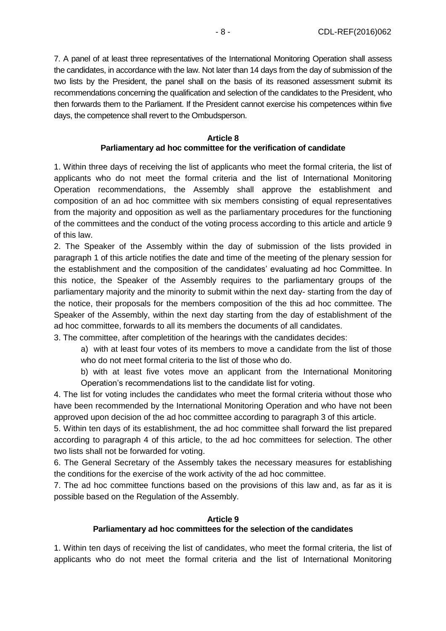7. A panel of at least three representatives of the International Monitoring Operation shall assess the candidates, in accordance with the law. Not later than 14 days from the day of submission of the two lists by the President, the panel shall on the basis of its reasoned assessment submit its recommendations concerning the qualification and selection of the candidates to the President, who then forwards them to the Parliament. If the President cannot exercise his competences within five days, the competence shall revert to the Ombudsperson.

## **Article 8 Parliamentary ad hoc committee for the verification of candidate**

1. Within three days of receiving the list of applicants who meet the formal criteria, the list of applicants who do not meet the formal criteria and the list of International Monitoring Operation recommendations, the Assembly shall approve the establishment and composition of an ad hoc committee with six members consisting of equal representatives from the majority and opposition as well as the parliamentary procedures for the functioning of the committees and the conduct of the voting process according to this article and article 9 of this law.

2. The Speaker of the Assembly within the day of submission of the lists provided in paragraph 1 of this article notifies the date and time of the meeting of the plenary session for the establishment and the composition of the candidates' evaluating ad hoc Committee. In this notice, the Speaker of the Assembly requires to the parliamentary groups of the parliamentary majority and the minority to submit within the next day- starting from the day of the notice, their proposals for the members composition of the this ad hoc committee. The Speaker of the Assembly, within the next day starting from the day of establishment of the ad hoc committee, forwards to all its members the documents of all candidates.

3. The committee, after completition of the hearings with the candidates decides:

a) with at least four votes of its members to move a candidate from the list of those who do not meet formal criteria to the list of those who do.

b) with at least five votes move an applicant from the International Monitoring Operation's recommendations list to the candidate list for voting.

4. The list for voting includes the candidates who meet the formal criteria without those who have been recommended by the International Monitoring Operation and who have not been approved upon decision of the ad hoc committee according to paragraph 3 of this article.

5. Within ten days of its establishment, the ad hoc committee shall forward the list prepared according to paragraph 4 of this article, to the ad hoc committees for selection. The other two lists shall not be forwarded for voting.

6. The General Secretary of the Assembly takes the necessary measures for establishing the conditions for the exercise of the work activity of the ad hoc committee.

7. The ad hoc committee functions based on the provisions of this law and, as far as it is possible based on the Regulation of the Assembly.

## **Article 9 Parliamentary ad hoc committees for the selection of the candidates**

1. Within ten days of receiving the list of candidates, who meet the formal criteria, the list of applicants who do not meet the formal criteria and the list of International Monitoring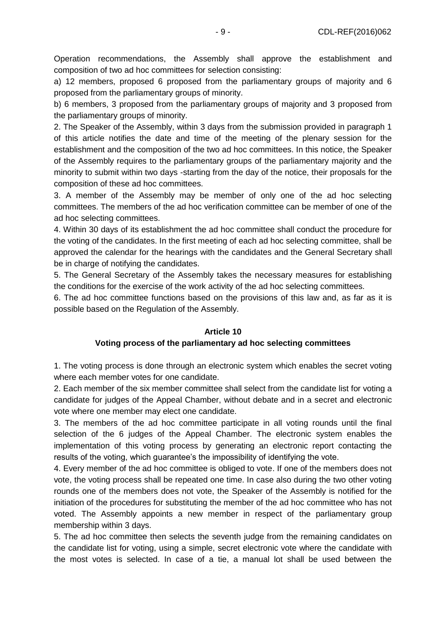Operation recommendations, the Assembly shall approve the establishment and composition of two ad hoc committees for selection consisting:

a) 12 members, proposed 6 proposed from the parliamentary groups of majority and 6 proposed from the parliamentary groups of minority.

b) 6 members, 3 proposed from the parliamentary groups of majority and 3 proposed from the parliamentary groups of minority.

2. The Speaker of the Assembly, within 3 days from the submission provided in paragraph 1 of this article notifies the date and time of the meeting of the plenary session for the establishment and the composition of the two ad hoc committees. In this notice, the Speaker of the Assembly requires to the parliamentary groups of the parliamentary majority and the minority to submit within two days -starting from the day of the notice, their proposals for the composition of these ad hoc committees.

3. A member of the Assembly may be member of only one of the ad hoc selecting committees. The members of the ad hoc verification committee can be member of one of the ad hoc selecting committees.

4. Within 30 days of its establishment the ad hoc committee shall conduct the procedure for the voting of the candidates. In the first meeting of each ad hoc selecting committee, shall be approved the calendar for the hearings with the candidates and the General Secretary shall be in charge of notifying the candidates.

5. The General Secretary of the Assembly takes the necessary measures for establishing the conditions for the exercise of the work activity of the ad hoc selecting committees.

6. The ad hoc committee functions based on the provisions of this law and, as far as it is possible based on the Regulation of the Assembly.

#### **Article 10**

#### **Voting process of the parliamentary ad hoc selecting committees**

1. The voting process is done through an electronic system which enables the secret voting where each member votes for one candidate.

2. Each member of the six member committee shall select from the candidate list for voting a candidate for judges of the Appeal Chamber, without debate and in a secret and electronic vote where one member may elect one candidate.

3. The members of the ad hoc committee participate in all voting rounds until the final selection of the 6 judges of the Appeal Chamber. The electronic system enables the implementation of this voting process by generating an electronic report contacting the results of the voting, which guarantee's the impossibility of identifying the vote.

4. Every member of the ad hoc committee is obliged to vote. If one of the members does not vote, the voting process shall be repeated one time. In case also during the two other voting rounds one of the members does not vote, the Speaker of the Assembly is notified for the initiation of the procedures for substituting the member of the ad hoc committee who has not voted. The Assembly appoints a new member in respect of the parliamentary group membership within 3 days.

5. The ad hoc committee then selects the seventh judge from the remaining candidates on the candidate list for voting, using a simple, secret electronic vote where the candidate with the most votes is selected. In case of a tie, a manual lot shall be used between the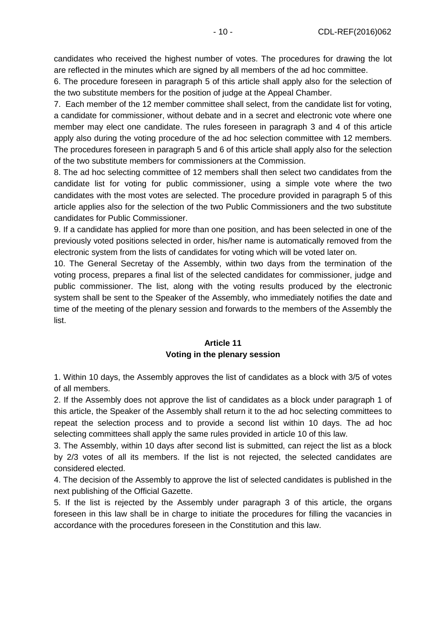candidates who received the highest number of votes. The procedures for drawing the lot are reflected in the minutes which are signed by all members of the ad hoc committee.

6. The procedure foreseen in paragraph 5 of this article shall apply also for the selection of the two substitute members for the position of judge at the Appeal Chamber.

7. Each member of the 12 member committee shall select, from the candidate list for voting, a candidate for commissioner, without debate and in a secret and electronic vote where one member may elect one candidate. The rules foreseen in paragraph 3 and 4 of this article apply also during the voting procedure of the ad hoc selection committee with 12 members. The procedures foreseen in paragraph 5 and 6 of this article shall apply also for the selection of the two substitute members for commissioners at the Commission.

8. The ad hoc selecting committee of 12 members shall then select two candidates from the candidate list for voting for public commissioner, using a simple vote where the two candidates with the most votes are selected. The procedure provided in paragraph 5 of this article applies also for the selection of the two Public Commissioners and the two substitute candidates for Public Commissioner.

9. If a candidate has applied for more than one position, and has been selected in one of the previously voted positions selected in order, his/her name is automatically removed from the electronic system from the lists of candidates for voting which will be voted later on.

10. The General Secretay of the Assembly, within two days from the termination of the voting process, prepares a final list of the selected candidates for commissioner, judge and public commissioner. The list, along with the voting results produced by the electronic system shall be sent to the Speaker of the Assembly, who immediately notifies the date and time of the meeting of the plenary session and forwards to the members of the Assembly the list.

## **Article 11 Voting in the plenary session**

1. Within 10 days, the Assembly approves the list of candidates as a block with 3/5 of votes of all members.

2. If the Assembly does not approve the list of candidates as a block under paragraph 1 of this article, the Speaker of the Assembly shall return it to the ad hoc selecting committees to repeat the selection process and to provide a second list within 10 days. The ad hoc selecting committees shall apply the same rules provided in article 10 of this law.

3. The Assembly, within 10 days after second list is submitted, can reject the list as a block by 2/3 votes of all its members. If the list is not rejected, the selected candidates are considered elected.

4. The decision of the Assembly to approve the list of selected candidates is published in the next publishing of the Official Gazette.

5. If the list is rejected by the Assembly under paragraph 3 of this article, the organs foreseen in this law shall be in charge to initiate the procedures for filling the vacancies in accordance with the procedures foreseen in the Constitution and this law.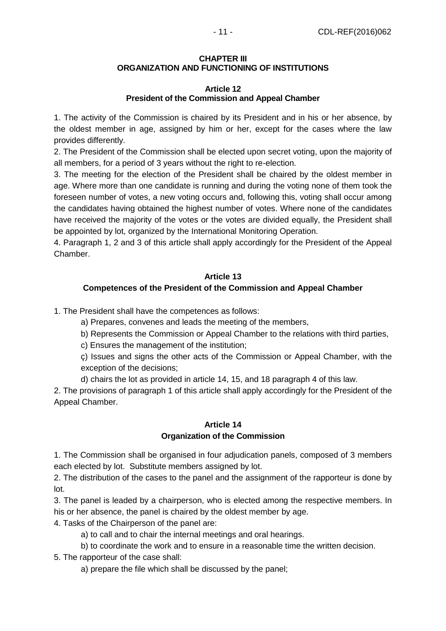## **CHAPTER III ORGANIZATION AND FUNCTIONING OF INSTITUTIONS**

## **Article 12 President of the Commission and Appeal Chamber**

1. The activity of the Commission is chaired by its President and in his or her absence, by the oldest member in age, assigned by him or her, except for the cases where the law provides differently.

2. The President of the Commission shall be elected upon secret voting, upon the majority of all members, for a period of 3 years without the right to re-election.

3. The meeting for the election of the President shall be chaired by the oldest member in age. Where more than one candidate is running and during the voting none of them took the foreseen number of votes, a new voting occurs and, following this, voting shall occur among the candidates having obtained the highest number of votes. Where none of the candidates have received the majority of the votes or the votes are divided equally, the President shall be appointed by lot, organized by the International Monitoring Operation.

4. Paragraph 1, 2 and 3 of this article shall apply accordingly for the President of the Appeal Chamber.

## **Article 13 Competences of the President of the Commission and Appeal Chamber**

1. The President shall have the competences as follows:

a) Prepares, convenes and leads the meeting of the members,

b) Represents the Commission or Appeal Chamber to the relations with third parties,

c) Ensures the management of the institution;

ç) Issues and signs the other acts of the Commission or Appeal Chamber, with the exception of the decisions;

d) chairs the lot as provided in article 14, 15, and 18 paragraph 4 of this law.

2. The provisions of paragraph 1 of this article shall apply accordingly for the President of the Appeal Chamber.

# **Article 14 Organization of the Commission**

1. The Commission shall be organised in four adjudication panels, composed of 3 members each elected by lot. Substitute members assigned by lot.

2. The distribution of the cases to the panel and the assignment of the rapporteur is done by lot.

3. The panel is leaded by a chairperson, who is elected among the respective members. In his or her absence, the panel is chaired by the oldest member by age.

4. Tasks of the Chairperson of the panel are:

a) to call and to chair the internal meetings and oral hearings.

b) to coordinate the work and to ensure in a reasonable time the written decision.

5. The rapporteur of the case shall:

a) prepare the file which shall be discussed by the panel;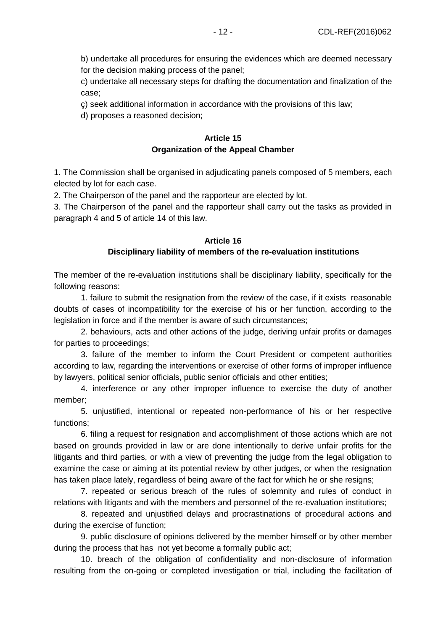b) undertake all procedures for ensuring the evidences which are deemed necessary for the decision making process of the panel;

c) undertake all necessary steps for drafting the documentation and finalization of the case;

ç) seek additional information in accordance with the provisions of this law;

d) proposes a reasoned decision;

## **Article 15 Organization of the Appeal Chamber**

1. The Commission shall be organised in adjudicating panels composed of 5 members, each elected by lot for each case.

2. The Chairperson of the panel and the rapporteur are elected by lot.

3. The Chairperson of the panel and the rapporteur shall carry out the tasks as provided in paragraph 4 and 5 of article 14 of this law.

## **Article 16**

## **Disciplinary liability of members of the re-evaluation institutions**

The member of the re-evaluation institutions shall be disciplinary liability, specifically for the following reasons:

1. failure to submit the resignation from the review of the case, if it exists reasonable doubts of cases of incompatibility for the exercise of his or her function, according to the legislation in force and if the member is aware of such circumstances;

2. behaviours, acts and other actions of the judge, deriving unfair profits or damages for parties to proceedings;

3. failure of the member to inform the Court President or competent authorities according to law, regarding the interventions or exercise of other forms of improper influence by lawyers, political senior officials, public senior officials and other entities;

4. interference or any other improper influence to exercise the duty of another member;

5. unjustified, intentional or repeated non-performance of his or her respective functions;

6. filing a request for resignation and accomplishment of those actions which are not based on grounds provided in law or are done intentionally to derive unfair profits for the litigants and third parties, or with a view of preventing the judge from the legal obligation to examine the case or aiming at its potential review by other judges, or when the resignation has taken place lately, regardless of being aware of the fact for which he or she resigns;

7. repeated or serious breach of the rules of solemnity and rules of conduct in relations with litigants and with the members and personnel of the re-evaluation institutions;

8. repeated and unjustified delays and procrastinations of procedural actions and during the exercise of function;

9. public disclosure of opinions delivered by the member himself or by other member during the process that has not yet become a formally public act;

10. breach of the obligation of confidentiality and non-disclosure of information resulting from the on-going or completed investigation or trial, including the facilitation of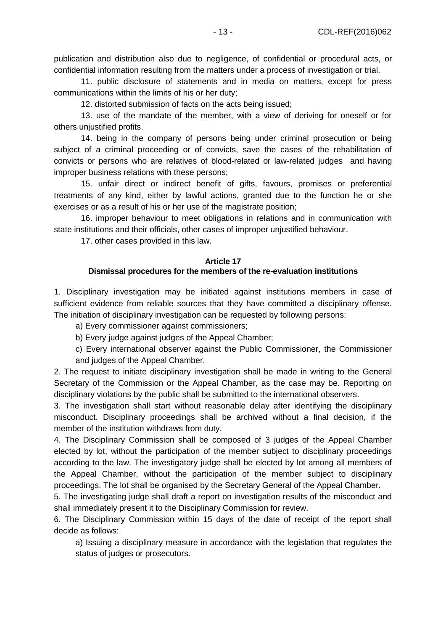publication and distribution also due to negligence, of confidential or procedural acts, or confidential information resulting from the matters under a process of investigation or trial.

11. public disclosure of statements and in media on matters, except for press communications within the limits of his or her duty;

12. distorted submission of facts on the acts being issued;

13. use of the mandate of the member, with a view of deriving for oneself or for others unjustified profits.

14. being in the company of persons being under criminal prosecution or being subject of a criminal proceeding or of convicts, save the cases of the rehabilitation of convicts or persons who are relatives of blood-related or law-related judges and having improper business relations with these persons;

15. unfair direct or indirect benefit of gifts, favours, promises or preferential treatments of any kind, either by lawful actions, granted due to the function he or she exercises or as a result of his or her use of the magistrate position;

16. improper behaviour to meet obligations in relations and in communication with state institutions and their officials, other cases of improper unjustified behaviour.

17. other cases provided in this law.

#### **Article 17 Dismissal procedures for the members of the re-evaluation institutions**

1. Disciplinary investigation may be initiated against institutions members in case of sufficient evidence from reliable sources that they have committed a disciplinary offense. The initiation of disciplinary investigation can be requested by following persons:

a) Every commissioner against commissioners;

b) Every judge against judges of the Appeal Chamber;

c) Every international observer against the Public Commissioner, the Commissioner and judges of the Appeal Chamber.

2. The request to initiate disciplinary investigation shall be made in writing to the General Secretary of the Commission or the Appeal Chamber, as the case may be. Reporting on disciplinary violations by the public shall be submitted to the international observers.

3. The investigation shall start without reasonable delay after identifying the disciplinary misconduct. Disciplinary proceedings shall be archived without a final decision, if the member of the institution withdraws from duty.

4. The Disciplinary Commission shall be composed of 3 judges of the Appeal Chamber elected by lot, without the participation of the member subject to disciplinary proceedings according to the law. The investigatory judge shall be elected by lot among all members of the Appeal Chamber, without the participation of the member subject to disciplinary proceedings. The lot shall be organised by the Secretary General of the Appeal Chamber.

5. The investigating judge shall draft a report on investigation results of the misconduct and shall immediately present it to the Disciplinary Commission for review.

6. The Disciplinary Commission within 15 days of the date of receipt of the report shall decide as follows:

a) Issuing a disciplinary measure in accordance with the legislation that regulates the status of judges or prosecutors.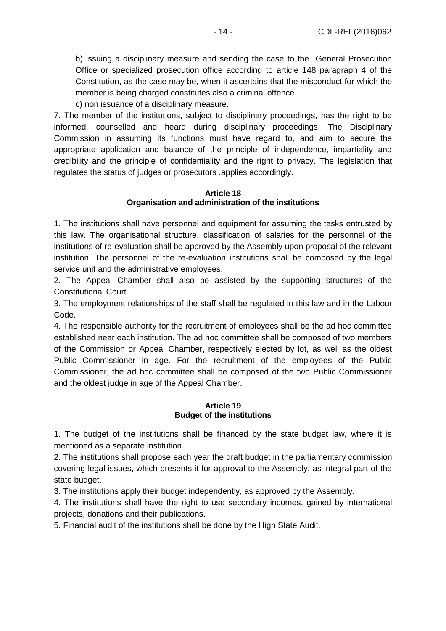b) issuing a disciplinary measure and sending the case to the General Prosecution Office or specialized prosecution office according to article 148 paragraph 4 of the Constitution, as the case may be, when it ascertains that the misconduct for which the member is being charged constitutes also a criminal offence.

c) non issuance of a disciplinary measure.

7. The member of the institutions, subject to disciplinary proceedings, has the right to be informed, counselled and heard during disciplinary proceedings. The Disciplinary Commission in assuming its functions must have regard to, and aim to secure the appropriate application and balance of the principle of independence, impartiality and credibility and the principle of confidentiality and the right to privacy. The legislation that regulates the status of judges or prosecutors .applies accordingly.

#### **Article 18 Organisation and administration of the institutions**

1. The institutions shall have personnel and equipment for assuming the tasks entrusted by this law. The organisational structure, classification of salaries for the personnel of the institutions of re-evaluation shall be approved by the Assembly upon proposal of the relevant institution. The personnel of the re-evaluation institutions shall be composed by the legal service unit and the administrative employees.

2. The Appeal Chamber shall also be assisted by the supporting structures of the Constitutional Court.

3. The employment relationships of the staff shall be regulated in this law and in the Labour Code.

4. The responsible authority for the recruitment of employees shall be the ad hoc committee established near each institution. The ad hoc committee shall be composed of two members of the Commission or Appeal Chamber, respectively elected by lot, as well as the oldest Public Commissioner in age. For the recruitment of the employees of the Public Commissioner, the ad hoc committee shall be composed of the two Public Commissioner and the oldest judge in age of the Appeal Chamber.

### **Article 19 Budget of the institutions**

1. The budget of the institutions shall be financed by the state budget law, where it is mentioned as a separate institution.

2. The institutions shall propose each year the draft budget in the parliamentary commission covering legal issues, which presents it for approval to the Assembly, as integral part of the state budget.

3. The institutions apply their budget independently, as approved by the Assembly.

4. The institutions shall have the right to use secondary incomes, gained by international projects, donations and their publications.

5. Financial audit of the institutions shall be done by the High State Audit.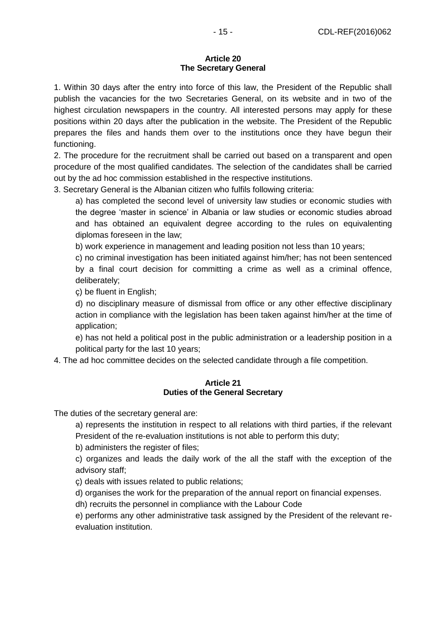#### **Article 20 The Secretary General**

1. Within 30 days after the entry into force of this law, the President of the Republic shall publish the vacancies for the two Secretaries General, on its website and in two of the highest circulation newspapers in the country. All interested persons may apply for these positions within 20 days after the publication in the website. The President of the Republic prepares the files and hands them over to the institutions once they have begun their functioning.

2. The procedure for the recruitment shall be carried out based on a transparent and open procedure of the most qualified candidates. The selection of the candidates shall be carried out by the ad hoc commission established in the respective institutions.

3. Secretary General is the Albanian citizen who fulfils following criteria:

a) has completed the second level of university law studies or economic studies with the degree 'master in science' in Albania or law studies or economic studies abroad and has obtained an equivalent degree according to the rules on equivalenting diplomas foreseen in the law;

b) work experience in management and leading position not less than 10 years;

c) no criminal investigation has been initiated against him/her; has not been sentenced by a final court decision for committing a crime as well as a criminal offence, deliberately;

ç) be fluent in English;

d) no disciplinary measure of dismissal from office or any other effective disciplinary action in compliance with the legislation has been taken against him/her at the time of application;

e) has not held a political post in the public administration or a leadership position in a political party for the last 10 years;

4. The ad hoc committee decides on the selected candidate through a file competition.

#### **Article 21 Duties of the General Secretary**

The duties of the secretary general are:

a) represents the institution in respect to all relations with third parties, if the relevant President of the re-evaluation institutions is not able to perform this duty;

b) administers the register of files;

c) organizes and leads the daily work of the all the staff with the exception of the advisory staff;

ç) deals with issues related to public relations;

d) organises the work for the preparation of the annual report on financial expenses.

dh) recruits the personnel in compliance with the Labour Code

e) performs any other administrative task assigned by the President of the relevant reevaluation institution.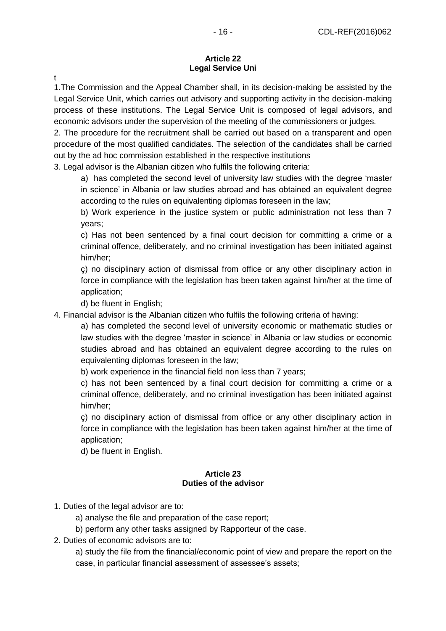#### **Article 22 Legal Service Uni**

t

1.The Commission and the Appeal Chamber shall, in its decision-making be assisted by the Legal Service Unit, which carries out advisory and supporting activity in the decision-making process of these institutions. The Legal Service Unit is composed of legal advisors, and economic advisors under the supervision of the meeting of the commissioners or judges.

2. The procedure for the recruitment shall be carried out based on a transparent and open procedure of the most qualified candidates. The selection of the candidates shall be carried out by the ad hoc commission established in the respective institutions

3. Legal advisor is the Albanian citizen who fulfils the following criteria:

a) has completed the second level of university law studies with the degree 'master in science' in Albania or law studies abroad and has obtained an equivalent degree according to the rules on equivalenting diplomas foreseen in the law;

b) Work experience in the justice system or public administration not less than 7 years;

c) Has not been sentenced by a final court decision for committing a crime or a criminal offence, deliberately, and no criminal investigation has been initiated against him/her;

ç) no disciplinary action of dismissal from office or any other disciplinary action in force in compliance with the legislation has been taken against him/her at the time of application;

d) be fluent in English;

4. Financial advisor is the Albanian citizen who fulfils the following criteria of having:

a) has completed the second level of university economic or mathematic studies or law studies with the degree 'master in science' in Albania or law studies or economic studies abroad and has obtained an equivalent degree according to the rules on equivalenting diplomas foreseen in the law;

b) work experience in the financial field non less than 7 years;

c) has not been sentenced by a final court decision for committing a crime or a criminal offence, deliberately, and no criminal investigation has been initiated against him/her;

ç) no disciplinary action of dismissal from office or any other disciplinary action in force in compliance with the legislation has been taken against him/her at the time of application;

d) be fluent in English.

### **Article 23 Duties of the advisor**

- 1. Duties of the legal advisor are to:
	- a) analyse the file and preparation of the case report;
	- b) perform any other tasks assigned by Rapporteur of the case.
- 2. Duties of economic advisors are to:

a) study the file from the financial/economic point of view and prepare the report on the case, in particular financial assessment of assessee's assets;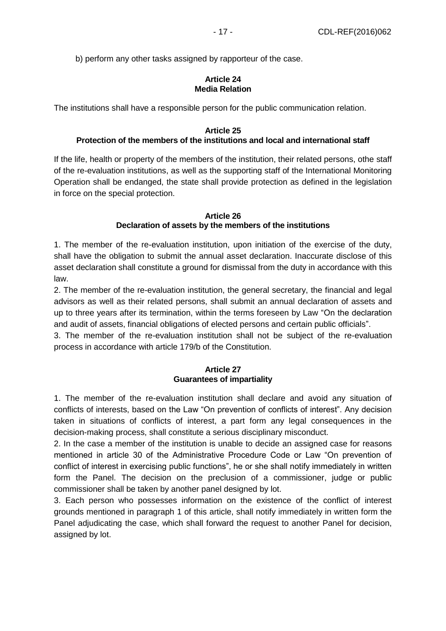b) perform any other tasks assigned by rapporteur of the case.

#### **Article 24 Media Relation**

The institutions shall have a responsible person for the public communication relation.

#### **Article 25 Protection of the members of the institutions and local and international staff**

If the life, health or property of the members of the institution, their related persons, othe staff of the re-evaluation institutions, as well as the supporting staff of the International Monitoring Operation shall be endanged, the state shall provide protection as defined in the legislation in force on the special protection.

#### **Article 26 Declaration of assets by the members of the institutions**

1. The member of the re-evaluation institution, upon initiation of the exercise of the duty, shall have the obligation to submit the annual asset declaration. Inaccurate disclose of this asset declaration shall constitute a ground for dismissal from the duty in accordance with this law.

2. The member of the re-evaluation institution, the general secretary, the financial and legal advisors as well as their related persons, shall submit an annual declaration of assets and up to three years after its termination, within the terms foreseen by Law "On the declaration and audit of assets, financial obligations of elected persons and certain public officials".

3. The member of the re-evaluation institution shall not be subject of the re-evaluation process in accordance with article 179/b of the Constitution.

## **Article 27 Guarantees of impartiality**

1. The member of the re-evaluation institution shall declare and avoid any situation of conflicts of interests, based on the Law "On prevention of conflicts of interest". Any decision taken in situations of conflicts of interest, a part form any legal consequences in the decision-making process, shall constitute a serious disciplinary misconduct.

2. In the case a member of the institution is unable to decide an assigned case for reasons mentioned in article 30 of the Administrative Procedure Code or Law "On prevention of conflict of interest in exercising public functions", he or she shall notify immediately in written form the Panel. The decision on the preclusion of a commissioner, judge or public commissioner shall be taken by another panel designed by lot.

3. Each person who possesses information on the existence of the conflict of interest grounds mentioned in paragraph 1 of this article, shall notify immediately in written form the Panel adjudicating the case, which shall forward the request to another Panel for decision, assigned by lot.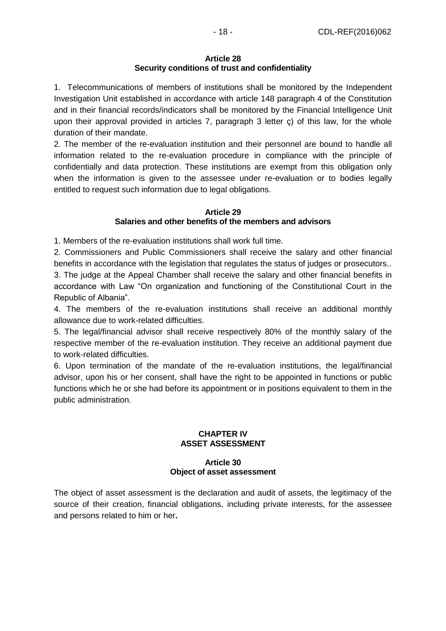#### **Article 28 Security conditions of trust and confidentiality**

1. Telecommunications of members of institutions shall be monitored by the Independent Investigation Unit established in accordance with article 148 paragraph 4 of the Constitution and in their financial records/indicators shall be monitored by the Financial Intelligence Unit upon their approval provided in articles 7, paragraph 3 letter ç) of this law, for the whole duration of their mandate.

2. The member of the re-evaluation institution and their personnel are bound to handle all information related to the re-evaluation procedure in compliance with the principle of confidentially and data protection. These institutions are exempt from this obligation only when the information is given to the assessee under re-evaluation or to bodies legally entitled to request such information due to legal obligations.

### **Article 29**

## **Salaries and other benefits of the members and advisors**

1. Members of the re-evaluation institutions shall work full time.

2. Commissioners and Public Commissioners shall receive the salary and other financial benefits in accordance with the legislation that regulates the status of judges or prosecutors..

3. The judge at the Appeal Chamber shall receive the salary and other financial benefits in accordance with Law "On organization and functioning of the Constitutional Court in the Republic of Albania".

4. The members of the re-evaluation institutions shall receive an additional monthly allowance due to work-related difficulties.

5. The legal/financial advisor shall receive respectively 80% of the monthly salary of the respective member of the re-evaluation institution. They receive an additional payment due to work-related difficulties.

6. Upon termination of the mandate of the re-evaluation institutions, the legal/financial advisor, upon his or her consent, shall have the right to be appointed in functions or public functions which he or she had before its appointment or in positions equivalent to them in the public administration.

## **CHAPTER IV ASSET ASSESSMENT**

## **Article 30 Object of asset assessment**

The object of asset assessment is the declaration and audit of assets, the legitimacy of the source of their creation, financial obligations, including private interests, for the assessee and persons related to him or her**.**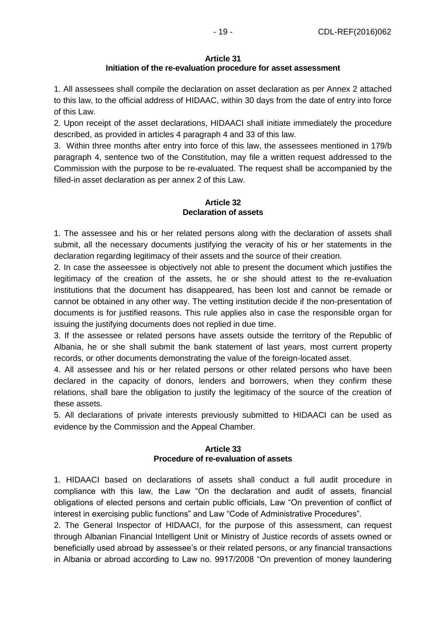#### **Article 31**

## **Initiation of the re-evaluation procedure for asset assessment**

1. All assessees shall compile the declaration on asset declaration as per Annex 2 attached to this law, to the official address of HIDAAC, within 30 days from the date of entry into force of this Law.

2. Upon receipt of the asset declarations, HIDAACI shall initiate immediately the procedure described, as provided in articles 4 paragraph 4 and 33 of this law.

3. Within three months after entry into force of this law, the assessees mentioned in 179/b paragraph 4, sentence two of the Constitution, may file a written request addressed to the Commission with the purpose to be re-evaluated. The request shall be accompanied by the filled-in asset declaration as per annex 2 of this Law.

## **Article 32 Declaration of assets**

1. The assessee and his or her related persons along with the declaration of assets shall submit, all the necessary documents justifying the veracity of his or her statements in the declaration regarding legitimacy of their assets and the source of their creation.

2. In case the asseessee is objectively not able to present the document which justifies the legitimacy of the creation of the assets, he or she should attest to the re-evaluation institutions that the document has disappeared, has been lost and cannot be remade or cannot be obtained in any other way. The vetting institution decide if the non-presentation of documents is for justified reasons. This rule applies also in case the responsible organ for issuing the justifying documents does not replied in due time.

3. If the assessee or related persons have assets outside the territory of the Republic of Albania, he or she shall submit the bank statement of last years, most current property records, or other documents demonstrating the value of the foreign-located asset.

4. All assessee and his or her related persons or other related persons who have been declared in the capacity of donors, lenders and borrowers, when they confirm these relations, shall bare the obligation to justify the legitimacy of the source of the creation of these assets.

5. All declarations of private interests previously submitted to HIDAACI can be used as evidence by the Commission and the Appeal Chamber.

## **Article 33 Procedure of re-evaluation of assets**

1. HIDAACI based on declarations of assets shall conduct a full audit procedure in compliance with this law, the Law "On the declaration and audit of assets, financial obligations of elected persons and certain public officials, Law "On prevention of conflict of interest in exercising public functions" and Law "Code of Administrative Procedures".

2. The General Inspector of HIDAACI, for the purpose of this assessment, can request through Albanian Financial Intelligent Unit or Ministry of Justice records of assets owned or beneficially used abroad by assessee's or their related persons, or any financial transactions in Albania or abroad according to Law no. 9917/2008 "On prevention of money laundering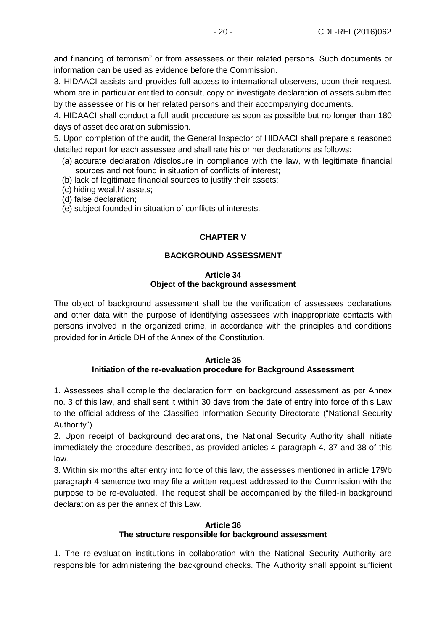and financing of terrorism" or from assessees or their related persons. Such documents or information can be used as evidence before the Commission.

3. HIDAACI assists and provides full access to international observers, upon their request, whom are in particular entitled to consult, copy or investigate declaration of assets submitted by the assessee or his or her related persons and their accompanying documents.

4**.** HIDAACI shall conduct a full audit procedure as soon as possible but no longer than 180 days of asset declaration submission.

5. Upon completion of the audit, the General Inspector of HIDAACI shall prepare a reasoned detailed report for each assessee and shall rate his or her declarations as follows:

- (a) accurate declaration /disclosure in compliance with the law, with legitimate financial sources and not found in situation of conflicts of interest;
- (b) lack of legitimate financial sources to justify their assets;
- (c) hiding wealth/ assets;
- (d) false declaration;
- (e) subject founded in situation of conflicts of interests.

## **CHAPTER V**

## **BACKGROUND ASSESSMENT**

#### **Article 34 Object of the background assessment**

The object of background assessment shall be the verification of assessees declarations and other data with the purpose of identifying assessees with inappropriate contacts with persons involved in the organized crime, in accordance with the principles and conditions provided for in Article DH of the Annex of the Constitution.

#### **Article 35 Initiation of the re-evaluation procedure for Background Assessment**

1. Assessees shall compile the declaration form on background assessment as per Annex no. 3 of this law, and shall sent it within 30 days from the date of entry into force of this Law to the official address of the Classified Information Security Directorate ("National Security Authority").

2. Upon receipt of background declarations, the National Security Authority shall initiate immediately the procedure described, as provided articles 4 paragraph 4, 37 and 38 of this law.

3. Within six months after entry into force of this law, the assesses mentioned in article 179/b paragraph 4 sentence two may file a written request addressed to the Commission with the purpose to be re-evaluated. The request shall be accompanied by the filled-in background declaration as per the annex of this Law.

## **Article 36 The structure responsible for background assessment**

1. The re-evaluation institutions in collaboration with the National Security Authority are responsible for administering the background checks. The Authority shall appoint sufficient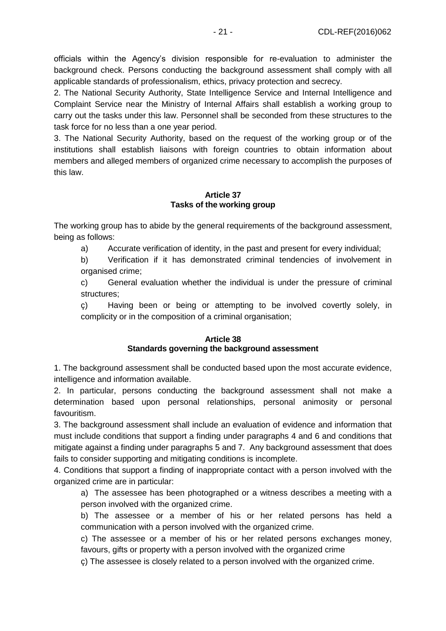officials within the Agency's division responsible for re-evaluation to administer the background check. Persons conducting the background assessment shall comply with all applicable standards of professionalism, ethics, privacy protection and secrecy.

2. The National Security Authority, State Intelligence Service and Internal Intelligence and Complaint Service near the Ministry of Internal Affairs shall establish a working group to carry out the tasks under this law. Personnel shall be seconded from these structures to the task force for no less than a one year period.

3. The National Security Authority, based on the request of the working group or of the institutions shall establish liaisons with foreign countries to obtain information about members and alleged members of organized crime necessary to accomplish the purposes of this law.

#### **Article 37 Tasks of the working group**

The working group has to abide by the general requirements of the background assessment, being as follows:

a) Accurate verification of identity, in the past and present for every individual;

b) Verification if it has demonstrated criminal tendencies of involvement in organised crime;

c) General evaluation whether the individual is under the pressure of criminal structures;

ç) Having been or being or attempting to be involved covertly solely, in complicity or in the composition of a criminal organisation;

### **Article 38 Standards governing the background assessment**

1. The background assessment shall be conducted based upon the most accurate evidence, intelligence and information available.

2. In particular, persons conducting the background assessment shall not make a determination based upon personal relationships, personal animosity or personal favouritism.

3. The background assessment shall include an evaluation of evidence and information that must include conditions that support a finding under paragraphs 4 and 6 and conditions that mitigate against a finding under paragraphs 5 and 7. Any background assessment that does fails to consider supporting and mitigating conditions is incomplete.

4. Conditions that support a finding of inappropriate contact with a person involved with the organized crime are in particular:

a) The assessee has been photographed or a witness describes a meeting with a person involved with the organized crime.

b) The assessee or a member of his or her related persons has held a communication with a person involved with the organized crime.

c) The assessee or a member of his or her related persons exchanges money, favours, gifts or property with a person involved with the organized crime

ç) The assessee is closely related to a person involved with the organized crime.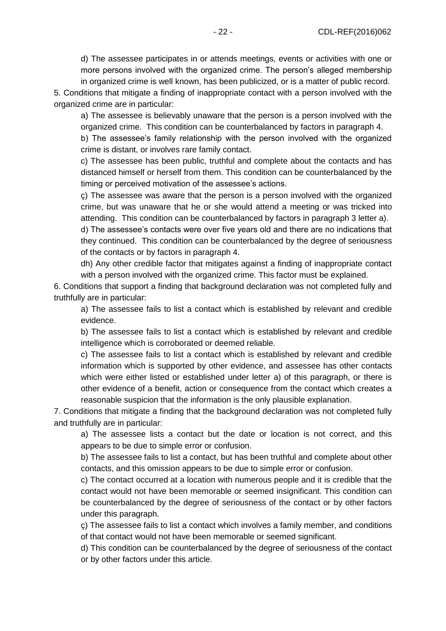d) The assessee participates in or attends meetings, events or activities with one or more persons involved with the organized crime. The person's alleged membership in organized crime is well known, has been publicized, or is a matter of public record.

5. Conditions that mitigate a finding of inappropriate contact with a person involved with the organized crime are in particular:

a) The assessee is believably unaware that the person is a person involved with the organized crime. This condition can be counterbalanced by factors in paragraph 4.

b) The assessee's family relationship with the person involved with the organized crime is distant, or involves rare family contact.

c) The assessee has been public, truthful and complete about the contacts and has distanced himself or herself from them. This condition can be counterbalanced by the timing or perceived motivation of the assessee's actions.

ç) The assessee was aware that the person is a person involved with the organized crime, but was unaware that he or she would attend a meeting or was tricked into attending. This condition can be counterbalanced by factors in paragraph 3 letter a).

d) The assessee's contacts were over five years old and there are no indications that they continued. This condition can be counterbalanced by the degree of seriousness of the contacts or by factors in paragraph 4.

dh) Any other credible factor that mitigates against a finding of inappropriate contact with a person involved with the organized crime. This factor must be explained.

6. Conditions that support a finding that background declaration was not completed fully and truthfully are in particular:

a) The assessee fails to list a contact which is established by relevant and credible evidence.

b) The assessee fails to list a contact which is established by relevant and credible intelligence which is corroborated or deemed reliable.

c) The assessee fails to list a contact which is established by relevant and credible information which is supported by other evidence, and assessee has other contacts which were either listed or established under letter a) of this paragraph, or there is other evidence of a benefit, action or consequence from the contact which creates a reasonable suspicion that the information is the only plausible explanation.

7. Conditions that mitigate a finding that the background declaration was not completed fully and truthfully are in particular:

a) The assessee lists a contact but the date or location is not correct, and this appears to be due to simple error or confusion.

b) The assessee fails to list a contact, but has been truthful and complete about other contacts, and this omission appears to be due to simple error or confusion.

c) The contact occurred at a location with numerous people and it is credible that the contact would not have been memorable or seemed insignificant. This condition can be counterbalanced by the degree of seriousness of the contact or by other factors under this paragraph.

ç) The assessee fails to list a contact which involves a family member, and conditions of that contact would not have been memorable or seemed significant.

d) This condition can be counterbalanced by the degree of seriousness of the contact or by other factors under this article.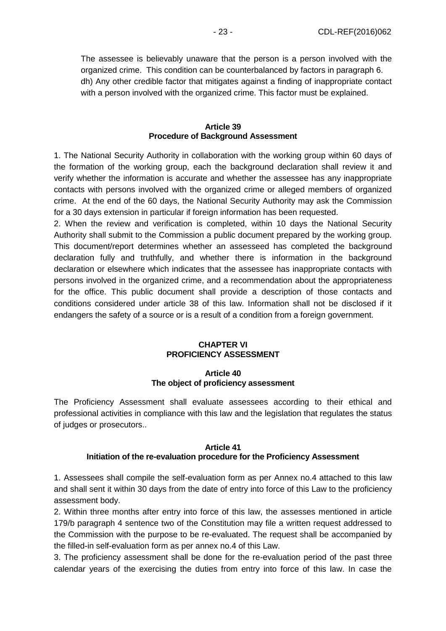The assessee is believably unaware that the person is a person involved with the organized crime. This condition can be counterbalanced by factors in paragraph 6. dh) Any other credible factor that mitigates against a finding of inappropriate contact with a person involved with the organized crime. This factor must be explained.

#### **Article 39 Procedure of Background Assessment**

1. The National Security Authority in collaboration with the working group within 60 days of the formation of the working group, each the background declaration shall review it and verify whether the information is accurate and whether the assessee has any inappropriate contacts with persons involved with the organized crime or alleged members of organized crime. At the end of the 60 days, the National Security Authority may ask the Commission for a 30 days extension in particular if foreign information has been requested.

2. When the review and verification is completed, within 10 days the National Security Authority shall submit to the Commission a public document prepared by the working group. This document/report determines whether an assesseed has completed the background declaration fully and truthfully, and whether there is information in the background declaration or elsewhere which indicates that the assessee has inappropriate contacts with persons involved in the organized crime, and a recommendation about the appropriateness for the office. This public document shall provide a description of those contacts and conditions considered under article 38 of this law. Information shall not be disclosed if it endangers the safety of a source or is a result of a condition from a foreign government.

#### **CHAPTER VI PROFICIENCY ASSESSMENT**

#### **Article 40 The object of proficiency assessment**

The Proficiency Assessment shall evaluate assessees according to their ethical and professional activities in compliance with this law and the legislation that regulates the status of judges or prosecutors..

## **Article 41 Initiation of the re-evaluation procedure for the Proficiency Assessment**

1. Assessees shall compile the self-evaluation form as per Annex no.4 attached to this law and shall sent it within 30 days from the date of entry into force of this Law to the proficiency assessment body.

2. Within three months after entry into force of this law, the assesses mentioned in article 179/b paragraph 4 sentence two of the Constitution may file a written request addressed to the Commission with the purpose to be re-evaluated. The request shall be accompanied by the filled-in self-evaluation form as per annex no.4 of this Law.

3. The proficiency assessment shall be done for the re-evaluation period of the past three calendar years of the exercising the duties from entry into force of this law. In case the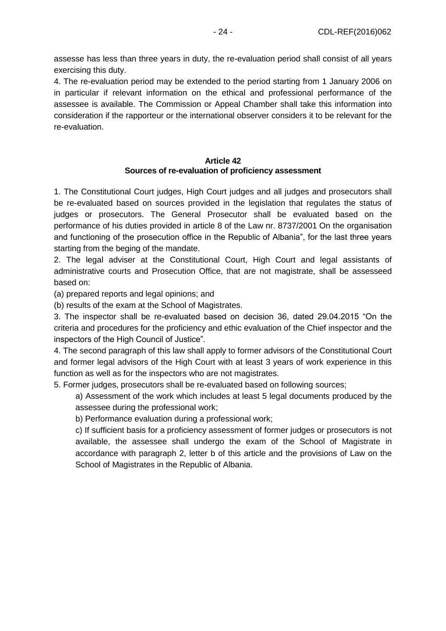assesse has less than three years in duty, the re-evaluation period shall consist of all years exercising this duty.

4. The re-evaluation period may be extended to the period starting from 1 January 2006 on in particular if relevant information on the ethical and professional performance of the assessee is available. The Commission or Appeal Chamber shall take this information into consideration if the rapporteur or the international observer considers it to be relevant for the re-evaluation.

#### **Article 42 Sources of re-evaluation of proficiency assessment**

1. The Constitutional Court judges, High Court judges and all judges and prosecutors shall be re-evaluated based on sources provided in the legislation that regulates the status of judges or prosecutors. The General Prosecutor shall be evaluated based on the performance of his duties provided in article 8 of the Law nr. 8737/2001 On the organisation and functioning of the prosecution office in the Republic of Albania", for the last three years starting from the beging of the mandate.

2. The legal adviser at the Constitutional Court, High Court and legal assistants of administrative courts and Prosecution Office, that are not magistrate, shall be assesseed based on:

(a) prepared reports and legal opinions; and

(b) results of the exam at the School of Magistrates.

3. The inspector shall be re-evaluated based on decision 36, dated 29.04.2015 "On the criteria and procedures for the proficiency and ethic evaluation of the Chief inspector and the inspectors of the High Council of Justice".

4. The second paragraph of this law shall apply to former advisors of the Constitutional Court and former legal advisors of the High Court with at least 3 years of work experience in this function as well as for the inspectors who are not magistrates.

5. Former judges, prosecutors shall be re-evaluated based on following sources;

a) Assessment of the work which includes at least 5 legal documents produced by the assessee during the professional work;

b) Performance evaluation during a professional work;

c) If sufficient basis for a proficiency assessment of former judges or prosecutors is not available, the assessee shall undergo the exam of the School of Magistrate in accordance with paragraph 2, letter b of this article and the provisions of Law on the School of Magistrates in the Republic of Albania.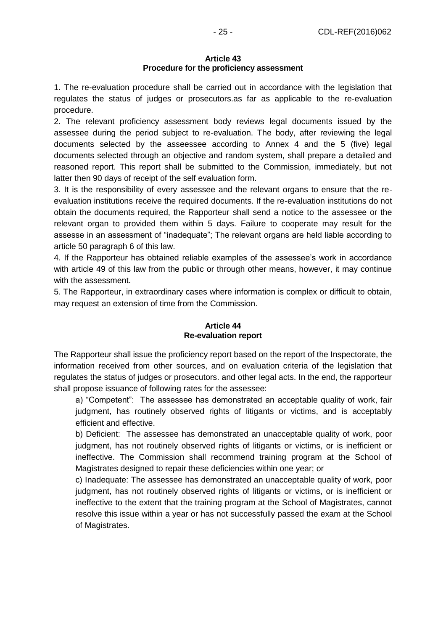#### **Article 43 Procedure for the proficiency assessment**

1. The re-evaluation procedure shall be carried out in accordance with the legislation that regulates the status of judges or prosecutors.as far as applicable to the re-evaluation procedure.

2. The relevant proficiency assessment body reviews legal documents issued by the assessee during the period subject to re-evaluation. The body, after reviewing the legal documents selected by the asseessee according to Annex 4 and the 5 (five) legal documents selected through an objective and random system, shall prepare a detailed and reasoned report. This report shall be submitted to the Commission, immediately, but not latter then 90 days of receipt of the self evaluation form.

3. It is the responsibility of every assessee and the relevant organs to ensure that the reevaluation institutions receive the required documents. If the re-evaluation institutions do not obtain the documents required, the Rapporteur shall send a notice to the assessee or the relevant organ to provided them within 5 days. Failure to cooperate may result for the assesse in an assessment of "inadequate"; The relevant organs are held liable according to article 50 paragraph 6 of this law.

4. If the Rapporteur has obtained reliable examples of the assessee's work in accordance with article 49 of this law from the public or through other means, however, it may continue with the assessment.

5. The Rapporteur, in extraordinary cases where information is complex or difficult to obtain, may request an extension of time from the Commission.

### **Article 44 Re-evaluation report**

The Rapporteur shall issue the proficiency report based on the report of the Inspectorate, the information received from other sources, and on evaluation criteria of the legislation that regulates the status of judges or prosecutors. and other legal acts. In the end, the rapporteur shall propose issuance of following rates for the assessee:

a) "Competent": The assessee has demonstrated an acceptable quality of work, fair judgment, has routinely observed rights of litigants or victims, and is acceptably efficient and effective.

b) Deficient: The assessee has demonstrated an unacceptable quality of work, poor judgment, has not routinely observed rights of litigants or victims, or is inefficient or ineffective. The Commission shall recommend training program at the School of Magistrates designed to repair these deficiencies within one year; or

c) Inadequate: The assessee has demonstrated an unacceptable quality of work, poor judgment, has not routinely observed rights of litigants or victims, or is inefficient or ineffective to the extent that the training program at the School of Magistrates, cannot resolve this issue within a year or has not successfully passed the exam at the School of Magistrates.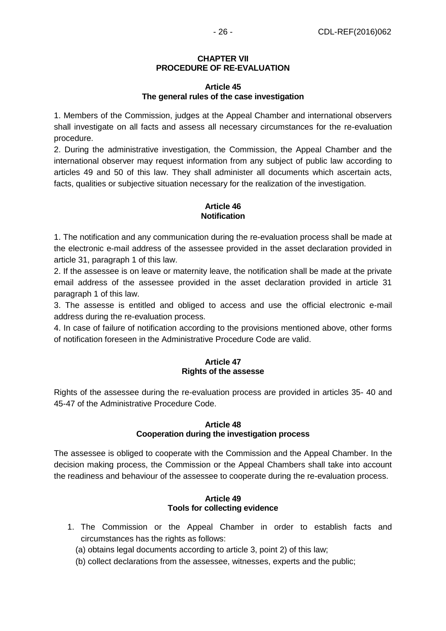#### **CHAPTER VII PROCEDURE OF RE-EVALUATION**

#### **Article 45 The general rules of the case investigation**

1. Members of the Commission, judges at the Appeal Chamber and international observers shall investigate on all facts and assess all necessary circumstances for the re-evaluation procedure.

2. During the administrative investigation, the Commission, the Appeal Chamber and the international observer may request information from any subject of public law according to articles 49 and 50 of this law. They shall administer all documents which ascertain acts, facts, qualities or subjective situation necessary for the realization of the investigation.

## **Article 46 Notification**

1. The notification and any communication during the re-evaluation process shall be made at the electronic e-mail address of the assessee provided in the asset declaration provided in article 31, paragraph 1 of this law.

2. If the assessee is on leave or maternity leave, the notification shall be made at the private email address of the assessee provided in the asset declaration provided in article 31 paragraph 1 of this law.

3. The assesse is entitled and obliged to access and use the official electronic e-mail address during the re-evaluation process.

4. In case of failure of notification according to the provisions mentioned above, other forms of notification foreseen in the Administrative Procedure Code are valid.

### **Article 47 Rights of the assesse**

Rights of the assessee during the re-evaluation process are provided in articles 35- 40 and 45-47 of the Administrative Procedure Code.

### **Article 48 Cooperation during the investigation process**

The assessee is obliged to cooperate with the Commission and the Appeal Chamber. In the decision making process, the Commission or the Appeal Chambers shall take into account the readiness and behaviour of the assessee to cooperate during the re-evaluation process.

### **Article 49 Tools for collecting evidence**

- 1. The Commission or the Appeal Chamber in order to establish facts and circumstances has the rights as follows:
	- (a) obtains legal documents according to article 3, point 2) of this law;
	- (b) collect declarations from the assessee, witnesses, experts and the public;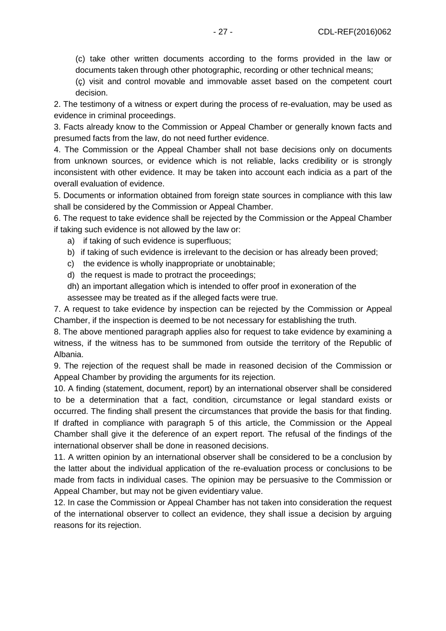(c) take other written documents according to the forms provided in the law or documents taken through other photographic, recording or other technical means;

(ç) visit and control movable and immovable asset based on the competent court decision.

2. The testimony of a witness or expert during the process of re-evaluation, may be used as evidence in criminal proceedings.

3. Facts already know to the Commission or Appeal Chamber or generally known facts and presumed facts from the law, do not need further evidence.

4. The Commission or the Appeal Chamber shall not base decisions only on documents from unknown sources, or evidence which is not reliable, lacks credibility or is strongly inconsistent with other evidence. It may be taken into account each indicia as a part of the overall evaluation of evidence.

5. Documents or information obtained from foreign state sources in compliance with this law shall be considered by the Commission or Appeal Chamber.

6. The request to take evidence shall be rejected by the Commission or the Appeal Chamber if taking such evidence is not allowed by the law or:

- a) if taking of such evidence is superfluous;
- b) if taking of such evidence is irrelevant to the decision or has already been proved;
- c) the evidence is wholly inappropriate or unobtainable;
- d) the request is made to protract the proceedings;

dh) an important allegation which is intended to offer proof in exoneration of the assessee may be treated as if the alleged facts were true.

7. A request to take evidence by inspection can be rejected by the Commission or Appeal Chamber, if the inspection is deemed to be not necessary for establishing the truth.

8. The above mentioned paragraph applies also for request to take evidence by examining a witness, if the witness has to be summoned from outside the territory of the Republic of Albania.

9. The rejection of the request shall be made in reasoned decision of the Commission or Appeal Chamber by providing the arguments for its rejection.

10. A finding (statement, document, report) by an international observer shall be considered to be a determination that a fact, condition, circumstance or legal standard exists or occurred. The finding shall present the circumstances that provide the basis for that finding. If drafted in compliance with paragraph 5 of this article, the Commission or the Appeal Chamber shall give it the deference of an expert report. The refusal of the findings of the international observer shall be done in reasoned decisions.

11. A written opinion by an international observer shall be considered to be a conclusion by the latter about the individual application of the re-evaluation process or conclusions to be made from facts in individual cases. The opinion may be persuasive to the Commission or Appeal Chamber, but may not be given evidentiary value.

12. In case the Commission or Appeal Chamber has not taken into consideration the request of the international observer to collect an evidence, they shall issue a decision by arguing reasons for its rejection.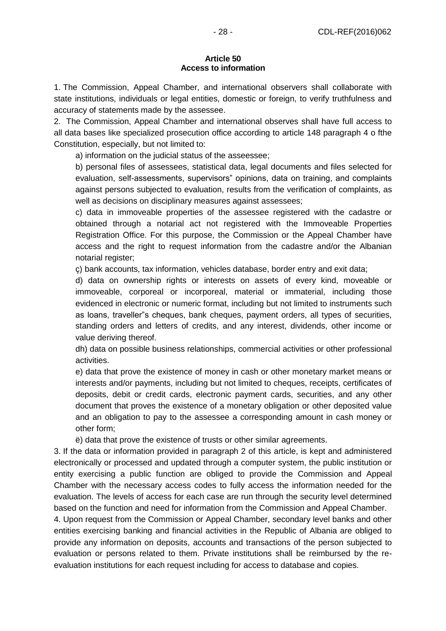#### **Article 50 Access to information**

1. The Commission, Appeal Chamber, and international observers shall collaborate with state institutions, individuals or legal entities, domestic or foreign, to verify truthfulness and accuracy of statements made by the assessee.

2. The Commission, Appeal Chamber and international observes shall have full access to all data bases like specialized prosecution office according to article 148 paragraph 4 o fthe Constitution, especially, but not limited to:

a) information on the judicial status of the asseessee;

b) personal files of assessees, statistical data, legal documents and files selected for evaluation, self-assessments, supervisors" opinions, data on training, and complaints against persons subjected to evaluation, results from the verification of complaints, as well as decisions on disciplinary measures against assessees;

c) data in immoveable properties of the assessee registered with the cadastre or obtained through a notarial act not registered with the Immoveable Properties Registration Office. For this purpose, the Commission or the Appeal Chamber have access and the right to request information from the cadastre and/or the Albanian notarial register;

ç) bank accounts, tax information, vehicles database, border entry and exit data;

d) data on ownership rights or interests on assets of every kind, moveable or immoveable, corporeal or incorporeal, material or immaterial, including those evidenced in electronic or numeric format, including but not limited to instruments such as loans, traveller"s cheques, bank cheques, payment orders, all types of securities, standing orders and letters of credits, and any interest, dividends, other income or value deriving thereof.

dh) data on possible business relationships, commercial activities or other professional activities.

e) data that prove the existence of money in cash or other monetary market means or interests and/or payments, including but not limited to cheques, receipts, certificates of deposits, debit or credit cards, electronic payment cards, securities, and any other document that proves the existence of a monetary obligation or other deposited value and an obligation to pay to the assessee a corresponding amount in cash money or other form;

ë) data that prove the existence of trusts or other similar agreements.

3. If the data or information provided in paragraph 2 of this article, is kept and administered electronically or processed and updated through a computer system, the public institution or entity exercising a public function are obliged to provide the Commission and Appeal Chamber with the necessary access codes to fully access the information needed for the evaluation. The levels of access for each case are run through the security level determined based on the function and need for information from the Commission and Appeal Chamber.

4. Upon request from the Commission or Appeal Chamber, secondary level banks and other entities exercising banking and financial activities in the Republic of Albania are obliged to provide any information on deposits, accounts and transactions of the person subjected to evaluation or persons related to them. Private institutions shall be reimbursed by the reevaluation institutions for each request including for access to database and copies.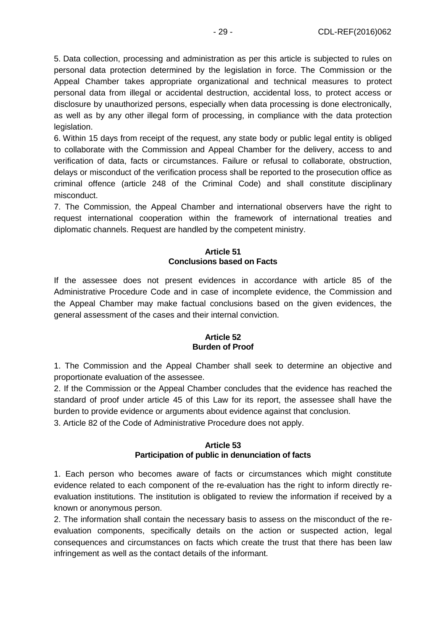5. Data collection, processing and administration as per this article is subjected to rules on personal data protection determined by the legislation in force. The Commission or the Appeal Chamber takes appropriate organizational and technical measures to protect personal data from illegal or accidental destruction, accidental loss, to protect access or disclosure by unauthorized persons, especially when data processing is done electronically, as well as by any other illegal form of processing, in compliance with the data protection legislation.

6. Within 15 days from receipt of the request, any state body or public legal entity is obliged to collaborate with the Commission and Appeal Chamber for the delivery, access to and verification of data, facts or circumstances. Failure or refusal to collaborate, obstruction, delays or misconduct of the verification process shall be reported to the prosecution office as criminal offence (article 248 of the Criminal Code) and shall constitute disciplinary misconduct.

7. The Commission, the Appeal Chamber and international observers have the right to request international cooperation within the framework of international treaties and diplomatic channels. Request are handled by the competent ministry.

## **Article 51 Conclusions based on Facts**

If the assessee does not present evidences in accordance with article 85 of the Administrative Procedure Code and in case of incomplete evidence, the Commission and the Appeal Chamber may make factual conclusions based on the given evidences, the general assessment of the cases and their internal conviction.

### **Article 52 Burden of Proof**

1. The Commission and the Appeal Chamber shall seek to determine an objective and proportionate evaluation of the assessee.

2. If the Commission or the Appeal Chamber concludes that the evidence has reached the standard of proof under article 45 of this Law for its report, the assessee shall have the burden to provide evidence or arguments about evidence against that conclusion.

3. Article 82 of the Code of Administrative Procedure does not apply.

## **Article 53 Participation of public in denunciation of facts**

1. Each person who becomes aware of facts or circumstances which might constitute evidence related to each component of the re-evaluation has the right to inform directly reevaluation institutions. The institution is obligated to review the information if received by a known or anonymous person.

2. The information shall contain the necessary basis to assess on the misconduct of the reevaluation components, specifically details on the action or suspected action, legal consequences and circumstances on facts which create the trust that there has been law infringement as well as the contact details of the informant.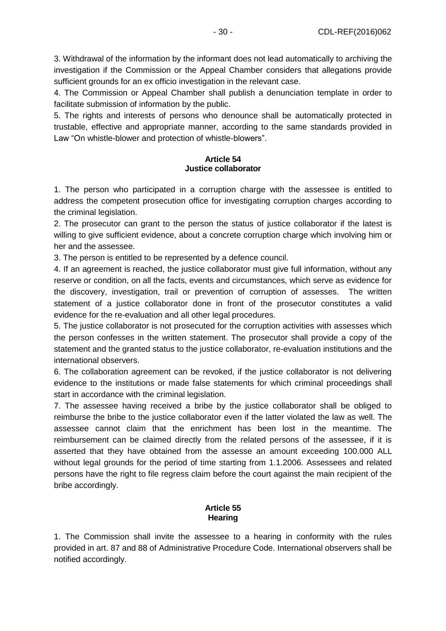3. Withdrawal of the information by the informant does not lead automatically to archiving the investigation if the Commission or the Appeal Chamber considers that allegations provide sufficient grounds for an ex officio investigation in the relevant case.

4. The Commission or Appeal Chamber shall publish a denunciation template in order to facilitate submission of information by the public.

5. The rights and interests of persons who denounce shall be automatically protected in trustable, effective and appropriate manner, according to the same standards provided in Law "On whistle-blower and protection of whistle-blowers".

## **Article 54 Justice collaborator**

1. The person who participated in a corruption charge with the assessee is entitled to address the competent prosecution office for investigating corruption charges according to the criminal legislation.

2. The prosecutor can grant to the person the status of justice collaborator if the latest is willing to give sufficient evidence, about a concrete corruption charge which involving him or her and the assessee.

3. The person is entitled to be represented by a defence council.

4. If an agreement is reached, the justice collaborator must give full information, without any reserve or condition, on all the facts, events and circumstances, which serve as evidence for the discovery, investigation, trail or prevention of corruption of assesses. The written statement of a justice collaborator done in front of the prosecutor constitutes a valid evidence for the re-evaluation and all other legal procedures.

5. The justice collaborator is not prosecuted for the corruption activities with assesses which the person confesses in the written statement. The prosecutor shall provide a copy of the statement and the granted status to the justice collaborator, re-evaluation institutions and the international observers.

6. The collaboration agreement can be revoked, if the justice collaborator is not delivering evidence to the institutions or made false statements for which criminal proceedings shall start in accordance with the criminal legislation.

7. The assessee having received a bribe by the justice collaborator shall be obliged to reimburse the bribe to the justice collaborator even if the latter violated the law as well. The assessee cannot claim that the enrichment has been lost in the meantime. The reimbursement can be claimed directly from the related persons of the assessee, if it is asserted that they have obtained from the assesse an amount exceeding 100.000 ALL without legal grounds for the period of time starting from 1.1.2006. Assessees and related persons have the right to file regress claim before the court against the main recipient of the bribe accordingly.

## **Article 55 Hearing**

1. The Commission shall invite the assessee to a hearing in conformity with the rules provided in art. 87 and 88 of Administrative Procedure Code. International observers shall be notified accordingly.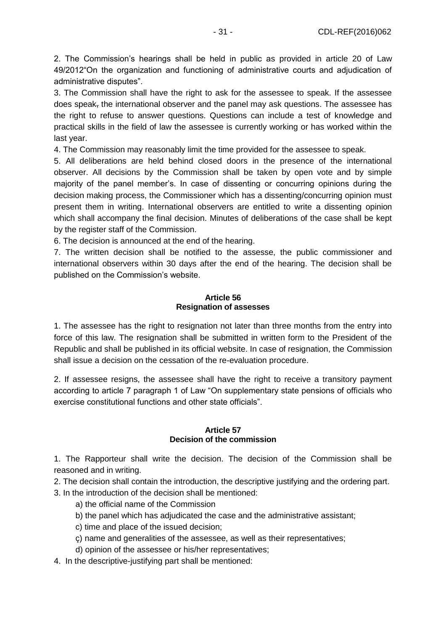2. The Commission's hearings shall be held in public as provided in article 20 of Law 49/2012"On the organization and functioning of administrative courts and adjudication of administrative disputes".

3. The Commission shall have the right to ask for the assessee to speak. If the assessee does speak, the international observer and the panel may ask questions. The assessee has the right to refuse to answer questions. Questions can include a test of knowledge and practical skills in the field of law the assessee is currently working or has worked within the last year.

4. The Commission may reasonably limit the time provided for the assessee to speak.

5. All deliberations are held behind closed doors in the presence of the international observer. All decisions by the Commission shall be taken by open vote and by simple majority of the panel member's. In case of dissenting or concurring opinions during the decision making process, the Commissioner which has a dissenting/concurring opinion must present them in writing. International observers are entitled to write a dissenting opinion which shall accompany the final decision. Minutes of deliberations of the case shall be kept by the register staff of the Commission.

6. The decision is announced at the end of the hearing.

7. The written decision shall be notified to the assesse, the public commissioner and international observers within 30 days after the end of the hearing. The decision shall be published on the Commission's website.

#### **Article 56 Resignation of assesses**

1. The assessee has the right to resignation not later than three months from the entry into force of this law. The resignation shall be submitted in written form to the President of the Republic and shall be published in its official website. In case of resignation, the Commission shall issue a decision on the cessation of the re-evaluation procedure.

2. If assessee resigns, the assessee shall have the right to receive a transitory payment according to article 7 paragraph 1 of Law "On supplementary state pensions of officials who exercise constitutional functions and other state officials".

#### **Article 57 Decision of the commission**

1. The Rapporteur shall write the decision. The decision of the Commission shall be reasoned and in writing.

2. The decision shall contain the introduction, the descriptive justifying and the ordering part.

3. In the introduction of the decision shall be mentioned:

- a) the official name of the Commission
- b) the panel which has adjudicated the case and the administrative assistant;
- c) time and place of the issued decision;
- ç) name and generalities of the assessee, as well as their representatives;
- d) opinion of the assessee or his/her representatives;
- 4. In the descriptive-justifying part shall be mentioned: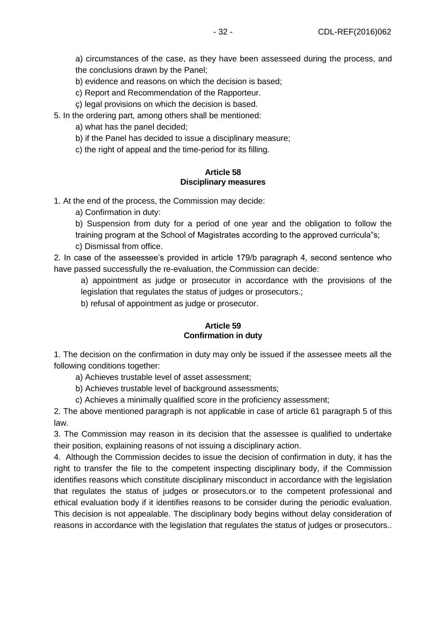a) circumstances of the case, as they have been assesseed during the process, and the conclusions drawn by the Panel;

b) evidence and reasons on which the decision is based;

c) Report and Recommendation of the Rapporteur.

ç) legal provisions on which the decision is based.

5. In the ordering part, among others shall be mentioned:

a) what has the panel decided;

b) if the Panel has decided to issue a disciplinary measure;

c) the right of appeal and the time-period for its filling.

## **Article 58 Disciplinary measures**

1. At the end of the process, the Commission may decide:

a) Confirmation in duty:

b) Suspension from duty for a period of one year and the obligation to follow the training program at the School of Magistrates according to the approved curricula"s;

c) Dismissal from office.

2. In case of the asseessee's provided in article 179/b paragraph 4, second sentence who have passed successfully the re-evaluation, the Commission can decide:

a) appointment as judge or prosecutor in accordance with the provisions of the legislation that regulates the status of judges or prosecutors.;

b) refusal of appointment as judge or prosecutor.

### **Article 59 Confirmation in duty**

1. The decision on the confirmation in duty may only be issued if the assessee meets all the following conditions together:

a) Achieves trustable level of asset assessment;

b) Achieves trustable level of background assessments;

c) Achieves a minimally qualified score in the proficiency assessment;

2. The above mentioned paragraph is not applicable in case of article 61 paragraph 5 of this law.

3. The Commission may reason in its decision that the assessee is qualified to undertake their position, explaining reasons of not issuing a disciplinary action.

4. Although the Commission decides to issue the decision of confirmation in duty, it has the right to transfer the file to the competent inspecting disciplinary body, if the Commission identifies reasons which constitute disciplinary misconduct in accordance with the legislation that regulates the status of judges or prosecutors.or to the competent professional and ethical evaluation body if it identifies reasons to be consider during the periodic evaluation. This decision is not appealable. The disciplinary body begins without delay consideration of reasons in accordance with the legislation that regulates the status of judges or prosecutors..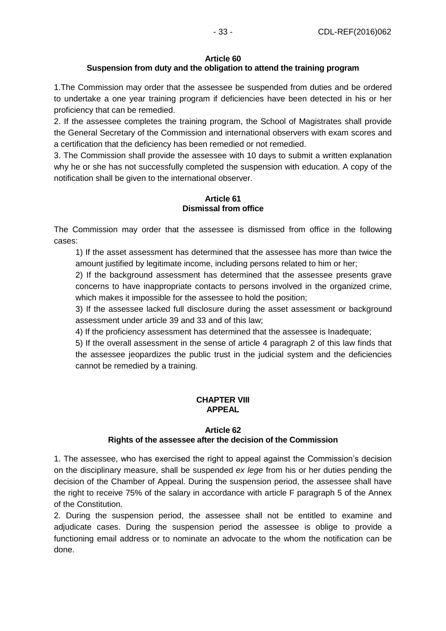## **Article 60**

# **Suspension from duty and the obligation to attend the training program**

1.The Commission may order that the assessee be suspended from duties and be ordered to undertake a one year training program if deficiencies have been detected in his or her proficiency that can be remedied.

2. If the assessee completes the training program, the School of Magistrates shall provide the General Secretary of the Commission and international observers with exam scores and a certification that the deficiency has been remedied or not remedied.

3. The Commission shall provide the assessee with 10 days to submit a written explanation why he or she has not successfully completed the suspension with education. A copy of the notification shall be given to the international observer.

## **Article 61 Dismissal from office**

The Commission may order that the assessee is dismissed from office in the following cases:

1) If the asset assessment has determined that the assessee has more than twice the amount justified by legitimate income, including persons related to him or her;

2) If the background assessment has determined that the assessee presents grave concerns to have inappropriate contacts to persons involved in the organized crime, which makes it impossible for the assessee to hold the position;

3) If the assessee lacked full disclosure during the asset assessment or background assessment under article 39 and 33 and of this law;

4) If the proficiency assessment has determined that the assessee is Inadequate;

5) If the overall assessment in the sense of article 4 paragraph 2 of this law finds that the assessee jeopardizes the public trust in the judicial system and the deficiencies cannot be remedied by a training.

## **CHAPTER VIII APPEAL**

## **Article 62 Rights of the assessee after the decision of the Commission**

1. The assessee, who has exercised the right to appeal against the Commission's decision on the disciplinary measure, shall be suspended *ex lege* from his or her duties pending the decision of the Chamber of Appeal. During the suspension period, the assessee shall have the right to receive 75% of the salary in accordance with article F paragraph 5 of the Annex of the Constitution.

2. During the suspension period, the assessee shall not be entitled to examine and adjudicate cases. During the suspension period the assessee is oblige to provide a functioning email address or to nominate an advocate to the whom the notification can be done.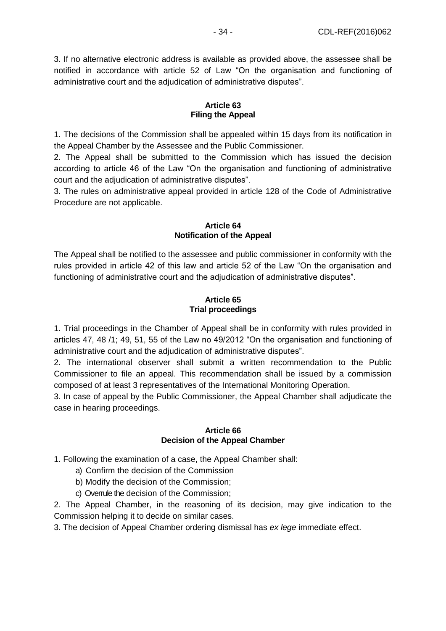3. If no alternative electronic address is available as provided above, the assessee shall be notified in accordance with article 52 of Law "On the organisation and functioning of administrative court and the adjudication of administrative disputes".

## **Article 63 Filing the Appeal**

1. The decisions of the Commission shall be appealed within 15 days from its notification in the Appeal Chamber by the Assessee and the Public Commissioner.

2. The Appeal shall be submitted to the Commission which has issued the decision according to article 46 of the Law "On the organisation and functioning of administrative court and the adjudication of administrative disputes".

3. The rules on administrative appeal provided in article 128 of the Code of Administrative Procedure are not applicable.

## **Article 64 Notification of the Appeal**

The Appeal shall be notified to the assessee and public commissioner in conformity with the rules provided in article 42 of this law and article 52 of the Law "On the organisation and functioning of administrative court and the adjudication of administrative disputes".

## **Article 65 Trial proceedings**

1. Trial proceedings in the Chamber of Appeal shall be in conformity with rules provided in articles 47, 48 /1; 49, 51, 55 of the Law no 49/2012 "On the organisation and functioning of administrative court and the adjudication of administrative disputes".

2. The international observer shall submit a written recommendation to the Public Commissioner to file an appeal. This recommendation shall be issued by a commission composed of at least 3 representatives of the International Monitoring Operation.

3. In case of appeal by the Public Commissioner, the Appeal Chamber shall adjudicate the case in hearing proceedings.

### **Article 66 Decision of the Appeal Chamber**

1. Following the examination of a case, the Appeal Chamber shall:

- a) Confirm the decision of the Commission
- b) Modify the decision of the Commission;
- c) Overrule the decision of the Commission;

2. The Appeal Chamber, in the reasoning of its decision, may give indication to the Commission helping it to decide on similar cases.

3. The decision of Appeal Chamber ordering dismissal has *ex lege* immediate effect.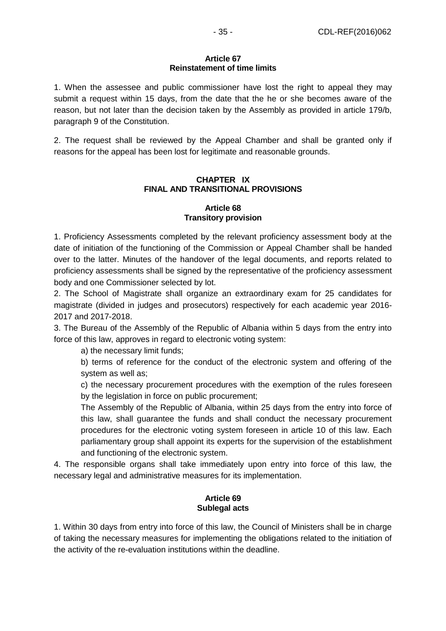#### **Article 67 Reinstatement of time limits**

1. When the assessee and public commissioner have lost the right to appeal they may submit a request within 15 days, from the date that the he or she becomes aware of the reason, but not later than the decision taken by the Assembly as provided in article 179/b, paragraph 9 of the Constitution.

2. The request shall be reviewed by the Appeal Chamber and shall be granted only if reasons for the appeal has been lost for legitimate and reasonable grounds.

## **CHAPTER IX FINAL AND TRANSITIONAL PROVISIONS**

#### **Article 68 Transitory provision**

1. Proficiency Assessments completed by the relevant proficiency assessment body at the date of initiation of the functioning of the Commission or Appeal Chamber shall be handed over to the latter. Minutes of the handover of the legal documents, and reports related to proficiency assessments shall be signed by the representative of the proficiency assessment body and one Commissioner selected by lot.

2. The School of Magistrate shall organize an extraordinary exam for 25 candidates for magistrate (divided in judges and prosecutors) respectively for each academic year 2016- 2017 and 2017-2018.

3. The Bureau of the Assembly of the Republic of Albania within 5 days from the entry into force of this law, approves in regard to electronic voting system:

a) the necessary limit funds;

b) terms of reference for the conduct of the electronic system and offering of the system as well as;

c) the necessary procurement procedures with the exemption of the rules foreseen by the legislation in force on public procurement;

The Assembly of the Republic of Albania, within 25 days from the entry into force of this law, shall guarantee the funds and shall conduct the necessary procurement procedures for the electronic voting system foreseen in article 10 of this law. Each parliamentary group shall appoint its experts for the supervision of the establishment and functioning of the electronic system.

4. The responsible organs shall take immediately upon entry into force of this law, the necessary legal and administrative measures for its implementation.

### **Article 69 Sublegal acts**

1. Within 30 days from entry into force of this law, the Council of Ministers shall be in charge of taking the necessary measures for implementing the obligations related to the initiation of the activity of the re-evaluation institutions within the deadline.